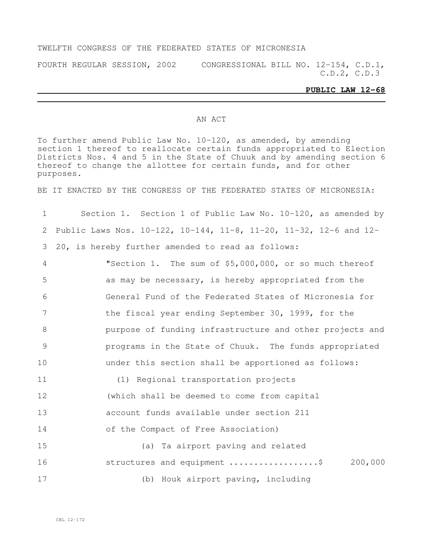#### TWELFTH CONGRESS OF THE FEDERATED STATES OF MICRONESIA

FOURTH REGULAR SESSION, 2002 CONGRESSIONAL BILL NO. 12-154, C.D.1, C.D.2, C.D.3

#### **PUBLIC LAW 12-68**

#### AN ACT

To further amend Public Law No. 10-120, as amended, by amending section 1 thereof to reallocate certain funds appropriated to Election Districts Nos. 4 and 5 in the State of Chuuk and by amending section 6 thereof to change the allottee for certain funds, and for other purposes.

BE IT ENACTED BY THE CONGRESS OF THE FEDERATED STATES OF MICRONESIA:

 Section 1. Section 1 of Public Law No. 10-120, as amended by Public Laws Nos. 10-122, 10-144, 11-8, 11-20, 11-32, 12-6 and 12- 20, is hereby further amended to read as follows: "Section 1. The sum of \$5,000,000, or so much thereof as may be necessary, is hereby appropriated from the General Fund of the Federated States of Micronesia for the fiscal year ending September 30, 1999, for the purpose of funding infrastructure and other projects and programs in the State of Chuuk. The funds appropriated under this section shall be apportioned as follows: (1) Regional transportation projects (which shall be deemed to come from capital account funds available under section 211 of the Compact of Free Association) (a) Ta airport paving and related **structures and equipment ....................**\$ 200,000 (b) Houk airport paving, including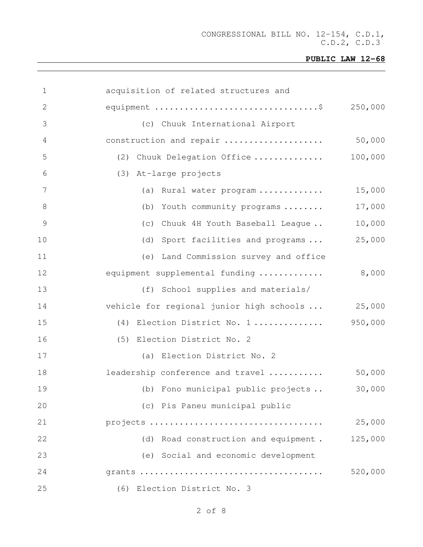| $\mathbf 1$     | acquisition of related structures and    |         |
|-----------------|------------------------------------------|---------|
| 2               |                                          | 250,000 |
| 3               | (c) Chuuk International Airport          |         |
| 4               | construction and repair                  | 50,000  |
| 5               | (2) Chuuk Delegation Office              | 100,000 |
| 6               | (3) At-large projects                    |         |
| $7\phantom{.0}$ | (a) Rural water program                  | 15,000  |
| $8\,$           | (b) Youth community programs             | 17,000  |
| $\mathcal{G}$   | (c) Chuuk 4H Youth Baseball League       | 10,000  |
| 10              | (d) Sport facilities and programs        | 25,000  |
| 11              | (e) Land Commission survey and office    |         |
| 12              | equipment supplemental funding           | 8,000   |
| 13              | (f) School supplies and materials/       |         |
| 14              | vehicle for regional junior high schools | 25,000  |
| 15              | (4) Election District No. 1              | 950,000 |
| 16              | (5) Election District No. 2              |         |
| 17              | (a) Election District No. 2              |         |
| 18              | leadership conference and travel         | 50,000  |
| 19              | (b) Fono municipal public projects       | 30,000  |
| 20              | (c) Pis Paneu municipal public           |         |
| 21              | projects                                 | 25,000  |
| 22              | (d) Road construction and equipment.     | 125,000 |
| 23              | (e) Social and economic development      |         |
| 24              |                                          | 520,000 |
| 25              | (6) Election District No. 3              |         |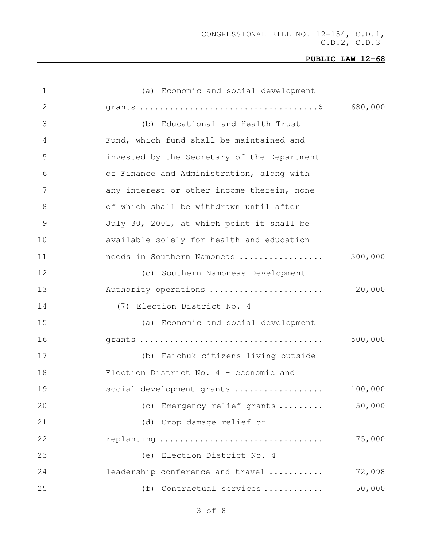| 1  | (a) Economic and social development         |         |
|----|---------------------------------------------|---------|
| 2  |                                             |         |
| 3  | (b) Educational and Health Trust            |         |
| 4  | Fund, which fund shall be maintained and    |         |
| 5  | invested by the Secretary of the Department |         |
| 6  | of Finance and Administration, along with   |         |
| 7  | any interest or other income therein, none  |         |
| 8  | of which shall be withdrawn until after     |         |
| 9  | July 30, 2001, at which point it shall be   |         |
| 10 | available solely for health and education   |         |
| 11 | needs in Southern Namoneas                  | 300,000 |
| 12 | (c) Southern Namoneas Development           |         |
| 13 | Authority operations                        | 20,000  |
| 14 | (7) Election District No. 4                 |         |
| 15 | (a) Economic and social development         |         |
| 16 |                                             | 500,000 |
| 17 | (b) Faichuk citizens living outside         |         |
| 18 | Election District No. $4$ - economic and    |         |
| 19 | social development grants                   | 100,000 |
| 20 | (c) Emergency relief grants                 | 50,000  |
| 21 | (d) Crop damage relief or                   |         |
| 22 | replanting                                  | 75,000  |
| 23 | (e) Election District No. 4                 |         |
| 24 | leadership conference and travel            | 72,098  |
| 25 | (f) Contractual services                    | 50,000  |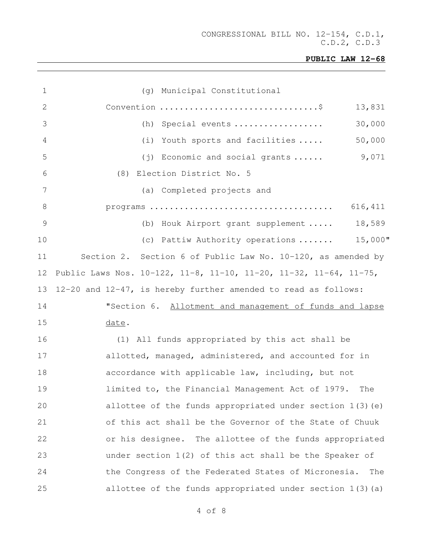| $\mathbf 1$   | (g) Municipal Constitutional                                      |
|---------------|-------------------------------------------------------------------|
| $\mathbf{2}$  | 13,831                                                            |
| 3             | 30,000<br>Special events<br>(h)                                   |
| 4             | 50,000<br>Youth sports and facilities<br>(i)                      |
| 5             | 9,071<br>(j) Economic and social grants                           |
| 6             | (8) Election District No. 5                                       |
| 7             | (a) Completed projects and                                        |
| 8             | 616,411                                                           |
| $\mathcal{G}$ | (b) Houk Airport grant supplement  18,589                         |
| 10            | (c) Pattiw Authority operations  15,000"                          |
| 11            | Section 2. Section 6 of Public Law No. 10-120, as amended by      |
| 12            | Public Laws Nos. 10-122, 11-8, 11-10, 11-20, 11-32, 11-64, 11-75, |
| 13            | 12-20 and 12-47, is hereby further amended to read as follows:    |
| 14            | "Section 6. Allotment and management of funds and lapse           |
| 15            | date.                                                             |
| 16            | (1) All funds appropriated by this act shall be                   |
| 17            | allotted, managed, administered, and accounted for in             |
| 18            | accordance with applicable law, including, but not                |
| 19            | limited to, the Financial Management Act of 1979. The             |
| 20            | allottee of the funds appropriated under section $1(3)(e)$        |
| 21            | of this act shall be the Governor of the State of Chuuk           |
| 22            | or his designee. The allottee of the funds appropriated           |
| 23            | under section $1(2)$ of this act shall be the Speaker of          |
| 24            | the Congress of the Federated States of Micronesia.<br>The        |
| 25            | allottee of the funds appropriated under section $1(3)$ (a)       |
|               |                                                                   |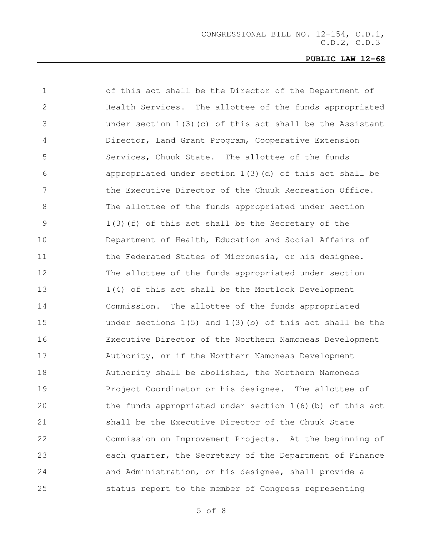| 1            | of this act shall be the Director of the Department of        |
|--------------|---------------------------------------------------------------|
| $\mathbf{2}$ | Health Services. The allottee of the funds appropriated       |
| 3            | under section $1(3)$ (c) of this act shall be the Assistant   |
| 4            | Director, Land Grant Program, Cooperative Extension           |
| 5            | Services, Chuuk State. The allottee of the funds              |
| 6            | appropriated under section $1(3)$ (d) of this act shall be    |
| 7            | the Executive Director of the Chuuk Recreation Office.        |
| 8            | The allottee of the funds appropriated under section          |
| 9            | 1(3)(f) of this act shall be the Secretary of the             |
| 10           | Department of Health, Education and Social Affairs of         |
| 11           | the Federated States of Micronesia, or his designee.          |
| 12           | The allottee of the funds appropriated under section          |
| 13           | 1(4) of this act shall be the Mortlock Development            |
| 14           | Commission. The allottee of the funds appropriated            |
| 15           | under sections $1(5)$ and $1(3)$ (b) of this act shall be the |
| 16           | Executive Director of the Northern Namoneas Development       |
| 17           | Authority, or if the Northern Namoneas Development            |
| 18           | Authority shall be abolished, the Northern Namoneas           |
| 19           | Project Coordinator or his designee. The allottee of          |
| 20           | the funds appropriated under section $1(6)$ (b) of this act   |
| 21           | shall be the Executive Director of the Chuuk State            |
| 22           | Commission on Improvement Projects. At the beginning of       |
| 23           | each quarter, the Secretary of the Department of Finance      |
| 24           | and Administration, or his designee, shall provide a          |
| 25           | status report to the member of Congress representing          |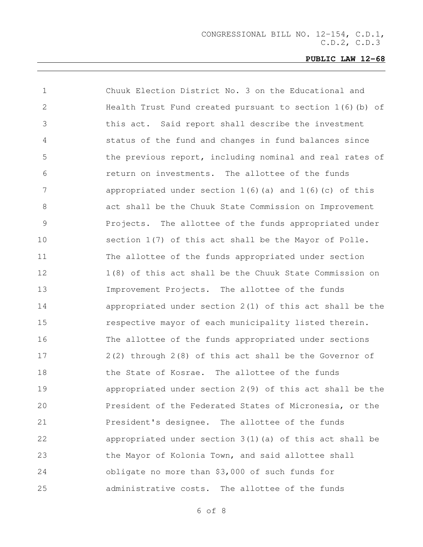| $\mathbf 1$    | Chuuk Election District No. 3 on the Educational and         |
|----------------|--------------------------------------------------------------|
| $\mathbf{2}$   | Health Trust Fund created pursuant to section $1(6)$ (b) of  |
| 3              | this act. Said report shall describe the investment          |
| $\overline{4}$ | status of the fund and changes in fund balances since        |
| 5              | the previous report, including nominal and real rates of     |
| 6              | return on investments. The allottee of the funds             |
| 7              | appropriated under section $1(6)$ (a) and $1(6)$ (c) of this |
| 8              | act shall be the Chuuk State Commission on Improvement       |
| 9              | Projects. The allottee of the funds appropriated under       |
| 10             | section 1(7) of this act shall be the Mayor of Polle.        |
| 11             | The allottee of the funds appropriated under section         |
| 12             | 1(8) of this act shall be the Chuuk State Commission on      |
| 13             | Improvement Projects. The allottee of the funds              |
| 14             | appropriated under section $2(1)$ of this act shall be the   |
| 15             | respective mayor of each municipality listed therein.        |
| 16             | The allottee of the funds appropriated under sections        |
| 17             | 2(2) through 2(8) of this act shall be the Governor of       |
| 18             | the State of Kosrae. The allottee of the funds               |
| 19             | appropriated under section $2(9)$ of this act shall be the   |
| 20             | President of the Federated States of Micronesia, or the      |
| 21             | President's designee. The allottee of the funds              |
| 22             | appropriated under section $3(1)$ (a) of this act shall be   |
| 23             | the Mayor of Kolonia Town, and said allottee shall           |
| 24             | obligate no more than \$3,000 of such funds for              |
| 25             | administrative costs. The allottee of the funds              |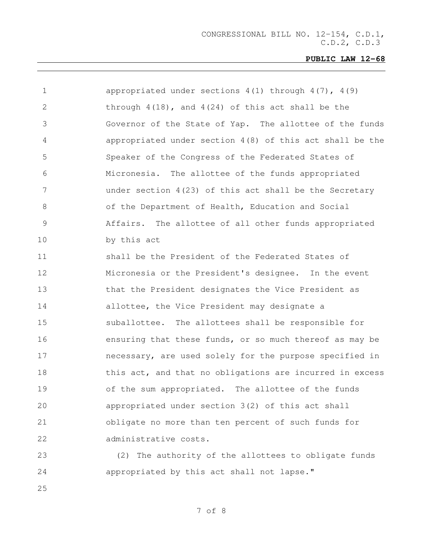| $\mathbf 1$     | appropriated under sections $4(1)$ through $4(7)$ , $4(9)$ |
|-----------------|------------------------------------------------------------|
| 2               | through $4(18)$ , and $4(24)$ of this act shall be the     |
| 3               | Governor of the State of Yap. The allottee of the funds    |
| $\overline{4}$  | appropriated under section $4(8)$ of this act shall be the |
| 5               | Speaker of the Congress of the Federated States of         |
| 6               | Micronesia. The allottee of the funds appropriated         |
| $7\phantom{.0}$ | under section $4(23)$ of this act shall be the Secretary   |
| 8               | of the Department of Health, Education and Social          |
| $\mathcal{G}$   | Affairs. The allottee of all other funds appropriated      |
| 10              | by this act                                                |
| 11              | shall be the President of the Federated States of          |
| 12              | Micronesia or the President's designee. In the event       |
| 13              | that the President designates the Vice President as        |
| 14              | allottee, the Vice President may designate a               |
| 15              | suballottee. The allottees shall be responsible for        |
| 16              | ensuring that these funds, or so much thereof as may be    |
| 17              | necessary, are used solely for the purpose specified in    |
| 18              | this act, and that no obligations are incurred in excess   |
| 19              | of the sum appropriated. The allottee of the funds         |
| 20              | appropriated under section 3(2) of this act shall          |
| 21              | obligate no more than ten percent of such funds for        |
| 22              | administrative costs.                                      |
| 23              | (2) The authority of the allottees to obligate funds       |

appropriated by this act shall not lapse."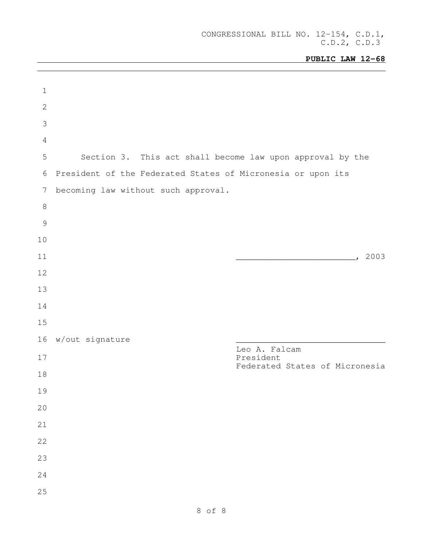| $\mathbf 1$     |                                                             |
|-----------------|-------------------------------------------------------------|
| $\mathbf{2}$    |                                                             |
| 3               |                                                             |
| $\sqrt{4}$      |                                                             |
| 5               | Section 3. This act shall become law upon approval by the   |
| 6               | President of the Federated States of Micronesia or upon its |
| $7\phantom{.0}$ | becoming law without such approval.                         |
| $\,8\,$         |                                                             |
| $\overline{9}$  |                                                             |
| 10              |                                                             |
| 11              | 2003                                                        |
| 12              |                                                             |
| 13              |                                                             |
| 14              |                                                             |
| 15              |                                                             |
| 16              | w/out signature<br>Leo A. Falcam                            |
| 17              | President<br>Federated States of Micronesia                 |
| 18              |                                                             |
| 19              |                                                             |
| 20              |                                                             |
| 21              |                                                             |
| 22              |                                                             |
| 23              |                                                             |
| 24              |                                                             |
| 25              |                                                             |